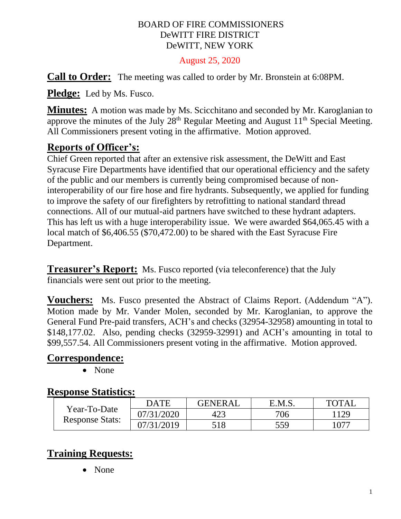#### BOARD OF FIRE COMMISSIONERS DeWITT FIRE DISTRICT DeWITT, NEW YORK

#### August 25, 2020

**Call to Order:** The meeting was called to order by Mr. Bronstein at 6:08PM.

**Pledge:** Led by Ms. Fusco.

**Minutes:** A motion was made by Ms. Scicchitano and seconded by Mr. Karoglanian to approve the minutes of the July  $28<sup>th</sup>$  Regular Meeting and August  $11<sup>th</sup>$  Special Meeting. All Commissioners present voting in the affirmative. Motion approved.

## **Reports of Officer's:**

Chief Green reported that after an extensive risk assessment, the DeWitt and East Syracuse Fire Departments have identified that our operational efficiency and the safety of the public and our members is currently being compromised because of noninteroperability of our fire hose and fire hydrants. Subsequently, we applied for funding to improve the safety of our firefighters by retrofitting to national standard thread connections. All of our mutual-aid partners have switched to these hydrant adapters. This has left us with a huge interoperability issue. We were awarded \$64,065.45 with a local match of \$6,406.55 (\$70,472.00) to be shared with the East Syracuse Fire Department.

**Treasurer's Report:** Ms. Fusco reported (via teleconference) that the July financials were sent out prior to the meeting.

**Vouchers:** Ms. Fusco presented the Abstract of Claims Report. (Addendum "A"). Motion made by Mr. Vander Molen, seconded by Mr. Karoglanian, to approve the General Fund Pre-paid transfers, ACH's and checks (32954-32958) amounting in total to \$148,177.02. Also, pending checks (32959-32991) and ACH's amounting in total to \$99,557.54. All Commissioners present voting in the affirmative. Motion approved.

#### **Correspondence:**

• None

#### **Response Statistics:**

| Year-To-Date<br><b>Response Stats:</b> | <b>DATE</b> | <b>GENERAL</b> | E.M.S. | <b>TOTAL</b> |
|----------------------------------------|-------------|----------------|--------|--------------|
|                                        | 07/31/2020  | 423            | 706    | 129          |
|                                        | 07/31/2019  | 518            | 559    | .077         |

## **Training Requests:**

• None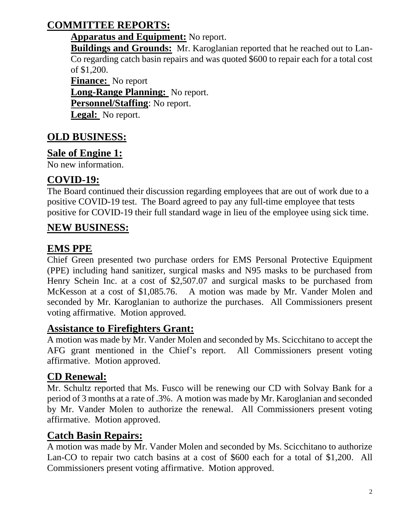# **COMMITTEE REPORTS:**

#### **Apparatus and Equipment:** No report.

**Buildings and Grounds:** Mr. Karoglanian reported that he reached out to Lan-Co regarding catch basin repairs and was quoted \$600 to repair each for a total cost of \$1,200.

**Finance:** No report **Long-Range Planning:** No report. **Personnel/Staffing**: No report. **Legal:** No report.

# **OLD BUSINESS:**

## **Sale of Engine 1:**

No new information.

## **COVID-19:**

The Board continued their discussion regarding employees that are out of work due to a positive COVID-19 test. The Board agreed to pay any full-time employee that tests positive for COVID-19 their full standard wage in lieu of the employee using sick time.

## **NEW BUSINESS:**

## **EMS PPE**

Chief Green presented two purchase orders for EMS Personal Protective Equipment (PPE) including hand sanitizer, surgical masks and N95 masks to be purchased from Henry Schein Inc. at a cost of \$2,507.07 and surgical masks to be purchased from McKesson at a cost of \$1,085.76. A motion was made by Mr. Vander Molen and seconded by Mr. Karoglanian to authorize the purchases. All Commissioners present voting affirmative. Motion approved.

### **Assistance to Firefighters Grant:**

A motion was made by Mr. Vander Molen and seconded by Ms. Scicchitano to accept the AFG grant mentioned in the Chief's report. All Commissioners present voting affirmative. Motion approved.

### **CD Renewal:**

Mr. Schultz reported that Ms. Fusco will be renewing our CD with Solvay Bank for a period of 3 months at a rate of .3%. A motion was made by Mr. Karoglanian and seconded by Mr. Vander Molen to authorize the renewal. All Commissioners present voting affirmative. Motion approved.

### **Catch Basin Repairs:**

A motion was made by Mr. Vander Molen and seconded by Ms. Scicchitano to authorize Lan-CO to repair two catch basins at a cost of \$600 each for a total of \$1,200. All Commissioners present voting affirmative. Motion approved.